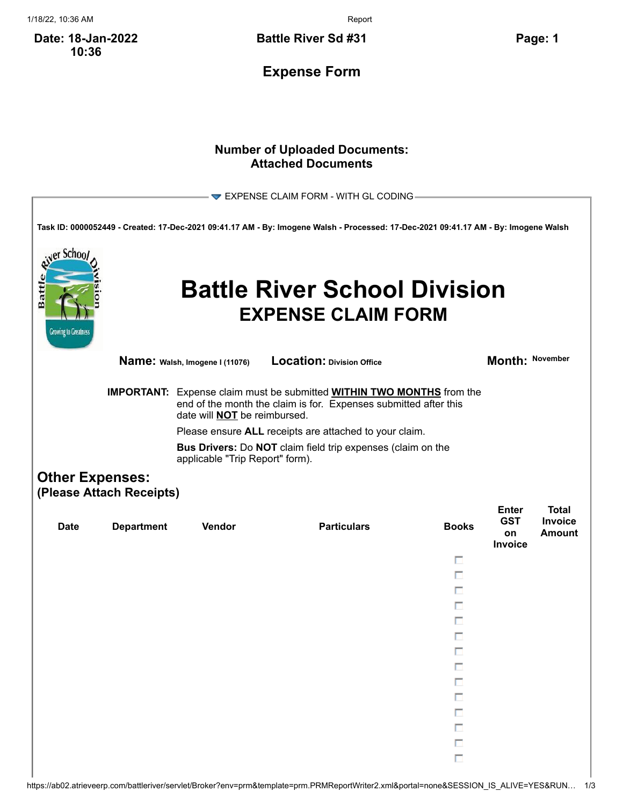1/18/22, 10:36 AM Report

**Date: 18-Jan-2022 10:36**

**Battle River Sd #31 Page: 1**

**Expense Form**

## **Number of Uploaded Documents: Attached Documents**

|                                                  |                                                                                                |                                                                                                                                                                                                | $\blacktriangledown$ EXPENSE CLAIM FORM - WITH GL CODING                                                                            |              |                                             |                                          |  |  |
|--------------------------------------------------|------------------------------------------------------------------------------------------------|------------------------------------------------------------------------------------------------------------------------------------------------------------------------------------------------|-------------------------------------------------------------------------------------------------------------------------------------|--------------|---------------------------------------------|------------------------------------------|--|--|
|                                                  |                                                                                                |                                                                                                                                                                                                | Task ID: 0000052449 - Created: 17-Dec-2021 09:41.17 AM - By: Imogene Walsh - Processed: 17-Dec-2021 09:41.17 AM - By: Imogene Walsh |              |                                             |                                          |  |  |
| er Schoo<br>Battl<br><b>Growing to Greatness</b> |                                                                                                |                                                                                                                                                                                                | <b>Battle River School Division</b><br><b>EXPENSE CLAIM FORM</b>                                                                    |              |                                             |                                          |  |  |
|                                                  |                                                                                                | Name: Walsh, Imogene I (11076)                                                                                                                                                                 | Location: Division Office                                                                                                           |              | Month: November                             |                                          |  |  |
|                                                  |                                                                                                | <b>IMPORTANT:</b> Expense claim must be submitted <b>WITHIN TWO MONTHS</b> from the<br>end of the month the claim is for. Expenses submitted after this<br>date will <b>NOT</b> be reimbursed. |                                                                                                                                     |              |                                             |                                          |  |  |
|                                                  | Please ensure ALL receipts are attached to your claim.                                         |                                                                                                                                                                                                |                                                                                                                                     |              |                                             |                                          |  |  |
|                                                  | Bus Drivers: Do NOT claim field trip expenses (claim on the<br>applicable "Trip Report" form). |                                                                                                                                                                                                |                                                                                                                                     |              |                                             |                                          |  |  |
| <b>Other Expenses:</b>                           | (Please Attach Receipts)                                                                       |                                                                                                                                                                                                |                                                                                                                                     |              |                                             |                                          |  |  |
| <b>Date</b>                                      | <b>Department</b>                                                                              | Vendor                                                                                                                                                                                         | <b>Particulars</b>                                                                                                                  | <b>Books</b> | <b>Enter</b><br><b>GST</b><br>on<br>Invoice | <b>Total</b><br>Invoice<br><b>Amount</b> |  |  |
|                                                  |                                                                                                |                                                                                                                                                                                                |                                                                                                                                     | п            |                                             |                                          |  |  |
|                                                  |                                                                                                |                                                                                                                                                                                                |                                                                                                                                     | п            |                                             |                                          |  |  |
|                                                  |                                                                                                |                                                                                                                                                                                                |                                                                                                                                     | п            |                                             |                                          |  |  |
|                                                  |                                                                                                |                                                                                                                                                                                                |                                                                                                                                     | П            |                                             |                                          |  |  |
|                                                  |                                                                                                |                                                                                                                                                                                                |                                                                                                                                     | п            |                                             |                                          |  |  |
|                                                  |                                                                                                |                                                                                                                                                                                                |                                                                                                                                     | п            |                                             |                                          |  |  |
|                                                  |                                                                                                |                                                                                                                                                                                                |                                                                                                                                     | П<br>П       |                                             |                                          |  |  |
|                                                  |                                                                                                |                                                                                                                                                                                                |                                                                                                                                     | Π            |                                             |                                          |  |  |
|                                                  |                                                                                                |                                                                                                                                                                                                |                                                                                                                                     | П            |                                             |                                          |  |  |
|                                                  |                                                                                                |                                                                                                                                                                                                |                                                                                                                                     | Ē            |                                             |                                          |  |  |
|                                                  |                                                                                                |                                                                                                                                                                                                |                                                                                                                                     | П            |                                             |                                          |  |  |
|                                                  |                                                                                                |                                                                                                                                                                                                |                                                                                                                                     | H            |                                             |                                          |  |  |
|                                                  |                                                                                                |                                                                                                                                                                                                |                                                                                                                                     | $\Box$       |                                             |                                          |  |  |
|                                                  |                                                                                                |                                                                                                                                                                                                |                                                                                                                                     |              |                                             |                                          |  |  |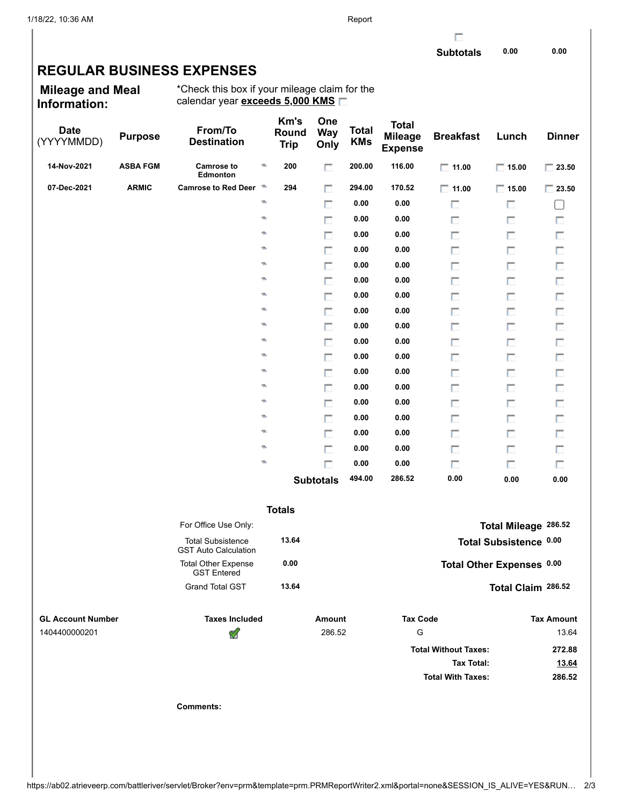г

## **REGULAR BUSINESS EXPENSES**

**Mileage and Meal Information:**

\*Check this box if your mileage claim for the calendar year **exceeds 5,000 KMS**

| <b>Date</b><br>(YYYYMMDD) | <b>Purpose</b>  | From/To<br><b>Destination</b>                           |    | Km's<br>Round<br><b>Trip</b> | One<br><b>Way</b><br>Only | <b>Total</b><br><b>KMs</b> | <b>Total</b><br><b>Mileage</b><br><b>Expense</b> | <b>Breakfast</b>            | Lunch                     | <b>Dinner</b>     |
|---------------------------|-----------------|---------------------------------------------------------|----|------------------------------|---------------------------|----------------------------|--------------------------------------------------|-----------------------------|---------------------------|-------------------|
| 14-Nov-2021               | <b>ASBA FGM</b> | <b>Camrose to</b><br>Edmonton                           | ø  | 200                          | п                         | 200.00                     | 116.00                                           | $\Box$ 11.00                | $\Box$ 15.00              | $\Box$ 23.50      |
| 07-Dec-2021               | <b>ARMIC</b>    | <b>Camrose to Red Deer</b>                              | D  | 294                          | п                         | 294.00                     | 170.52                                           | $\Box$ 11.00                | $\Box$ 15.00              | $\Box$ 23.50      |
|                           |                 |                                                         | ø  |                              | П                         | 0.00                       | 0.00                                             | п                           | П                         | L                 |
|                           |                 |                                                         | ø  |                              | П                         | 0.00                       | 0.00                                             | п                           | П                         | П                 |
|                           |                 |                                                         | ø  |                              | п                         | 0.00                       | 0.00                                             | п                           | П                         | П                 |
|                           |                 |                                                         | ø  |                              | П                         | 0.00                       | 0.00                                             | П                           | п                         | П                 |
|                           |                 |                                                         | Ø, |                              | п                         | 0.00                       | 0.00                                             | п                           | П                         | П                 |
|                           |                 |                                                         | Ø, |                              | П                         | 0.00                       | 0.00                                             | П                           | П                         | $\Box$            |
|                           |                 |                                                         | Ø, |                              | п                         | 0.00                       | 0.00                                             | П                           | П                         | П                 |
|                           |                 |                                                         | Ø, |                              | П                         | 0.00                       | 0.00                                             | П                           | п                         | П                 |
|                           |                 |                                                         | Ø, |                              | п                         | 0.00                       | 0.00                                             | П                           | П                         | П                 |
|                           |                 |                                                         | Ø, |                              | П                         | 0.00                       | 0.00                                             | П                           | п                         | П                 |
|                           |                 |                                                         | Ø, |                              | п                         | 0.00                       | 0.00                                             | П                           | П                         | П                 |
|                           |                 |                                                         | Ø, |                              | П                         | 0.00                       | 0.00                                             | П                           | п                         | П                 |
|                           |                 |                                                         | Ø, |                              | п                         | 0.00                       | 0.00                                             | П                           | П                         | П                 |
|                           |                 |                                                         | Ø, |                              | П                         | 0.00                       | 0.00                                             | П                           | п                         | $\Box$            |
|                           |                 |                                                         | Ø, |                              | п                         | 0.00                       | 0.00                                             | П                           | П                         | П                 |
|                           |                 |                                                         | ø  |                              | П                         | 0.00                       | 0.00                                             | П                           | п                         | П                 |
|                           |                 |                                                         | Ø, |                              | п                         | 0.00                       | 0.00                                             | п                           | П                         | П                 |
|                           |                 |                                                         | ø  |                              | $\Box$                    | 0.00                       | 0.00                                             | п                           | П                         | П                 |
|                           |                 |                                                         |    |                              | <b>Subtotals</b>          | 494.00                     | 286.52                                           | 0.00                        | 0.00                      | 0.00              |
|                           |                 |                                                         |    | <b>Totals</b>                |                           |                            |                                                  |                             |                           |                   |
|                           |                 | For Office Use Only:                                    |    |                              |                           |                            |                                                  |                             | Total Mileage 286.52      |                   |
|                           |                 | <b>Total Subsistence</b><br><b>GST Auto Calculation</b> |    | 13.64                        |                           |                            |                                                  |                             | Total Subsistence 0.00    |                   |
|                           |                 | <b>Total Other Expense</b><br><b>GST Entered</b>        |    | 0.00                         |                           |                            |                                                  |                             | Total Other Expenses 0.00 |                   |
|                           |                 | <b>Grand Total GST</b>                                  |    | 13.64                        |                           |                            |                                                  |                             | Total Claim 286.52        |                   |
| <b>GL Account Number</b>  |                 | <b>Taxes Included</b>                                   |    |                              | <b>Amount</b>             |                            | <b>Tax Code</b>                                  |                             |                           | <b>Tax Amount</b> |
| 1404400000201             |                 | ี                                                       |    |                              | 286.52                    |                            | G                                                |                             |                           | 13.64             |
|                           |                 |                                                         |    |                              |                           |                            |                                                  | <b>Total Without Taxes:</b> |                           | 272.88            |
|                           |                 |                                                         |    |                              |                           |                            |                                                  | <b>Tax Total:</b>           |                           | 13.64             |
|                           |                 |                                                         |    |                              |                           |                            |                                                  | <b>Total With Taxes:</b>    |                           | 286.52            |
|                           |                 | <b>Comments:</b>                                        |    |                              |                           |                            |                                                  |                             |                           |                   |